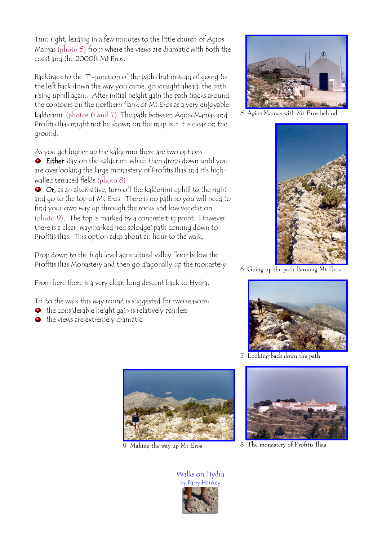Turn right, leading in a few minutes to the little church of Agios Mamas (photo 5) from where the views are dramatic with both the coast and the 2000ft Mt Eros.

Backtrack to the 'T'-junction of the paths but instead of going to the left back down the way you came, go straight ahead, the path rising uphill again. After initial height gain the path tracks around the contours on the northern flank of Mt Eros as a very enjoyable kalderimi (photos 6 and 7). The path between Agios Mamas and Profitis Ilias might not be shown on the map but it is clear on the ground.

As you get higher up the kalderimi there are two options

**Either** stay on the kalderimi which then drops down until you are overlooking the large monastery of Profitis Ilias and it's highwalled terraced fields (photo 8)

 $\bullet$  Or, as an alternative, turn off the kalderimi uphill to the right and go to the top of Mt Eros. There is no path so you will need to find your own way up through the rocks and low vegetation (photo 9). The top is marked by a concrete trig point. However, there is a clear, waymarked 'red splodge' path coming down to Profitis Ilias. This option adds about an hour to the walk,

Drop down to the high level agricultural valley floor below the Profitis Ilias Monastery and then go diagonally up the monastery.

From here there is a very clear, long descent back to Hydra.

To do the walk this way round is suggested for two reasons:

- $\bullet$  the considerable height gain is relatively painless
- $\bullet$  the views are extremely dramatic



5 Agios Mamas with Mt Eros behind



6 Going up the path flanking Mt Eros



7 Looking back down the path





 $9$  Making the way up Mt Eros  $8$  The monastery of Profitis Ilias